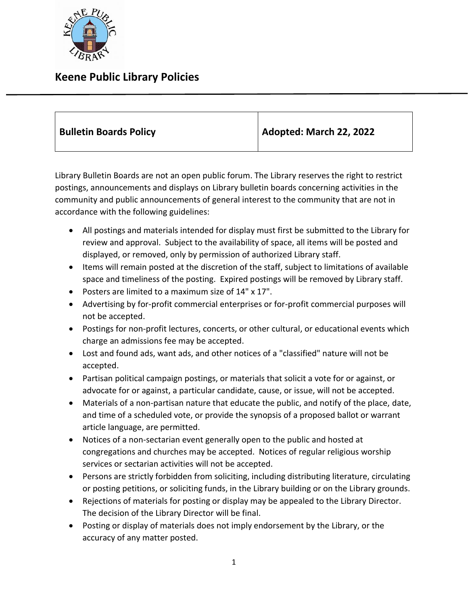

## **Keene Public Library Policies**

| <b>Bulletin Boards Policy</b> | Adopted: March 22, 2022 |
|-------------------------------|-------------------------|
|-------------------------------|-------------------------|

Library Bulletin Boards are not an open public forum. The Library reserves the right to restrict postings, announcements and displays on Library bulletin boards concerning activities in the community and public announcements of general interest to the community that are not in accordance with the following guidelines:

- All postings and materials intended for display must first be submitted to the Library for review and approval. Subject to the availability of space, all items will be posted and displayed, or removed, only by permission of authorized Library staff.
- Items will remain posted at the discretion of the staff, subject to limitations of available space and timeliness of the posting. Expired postings will be removed by Library staff.
- Posters are limited to a maximum size of 14" x 17".
- Advertising by for-profit commercial enterprises or for-profit commercial purposes will not be accepted.
- Postings for non-profit lectures, concerts, or other cultural, or educational events which charge an admissions fee may be accepted.
- Lost and found ads, want ads, and other notices of a "classified" nature will not be accepted.
- Partisan political campaign postings, or materials that solicit a vote for or against, or advocate for or against, a particular candidate, cause, or issue, will not be accepted.
- Materials of a non-partisan nature that educate the public, and notify of the place, date, and time of a scheduled vote, or provide the synopsis of a proposed ballot or warrant article language, are permitted.
- Notices of a non-sectarian event generally open to the public and hosted at congregations and churches may be accepted. Notices of regular religious worship services or sectarian activities will not be accepted.
- Persons are strictly forbidden from soliciting, including distributing literature, circulating or posting petitions, or soliciting funds, in the Library building or on the Library grounds.
- Rejections of materials for posting or display may be appealed to the Library Director. The decision of the Library Director will be final.
- Posting or display of materials does not imply endorsement by the Library, or the accuracy of any matter posted.